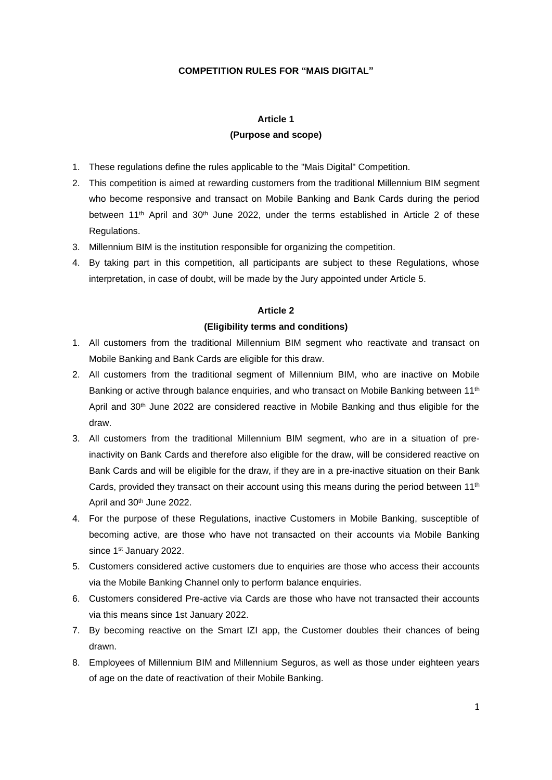#### **COMPETITION RULES FOR "MAIS DIGITAL"**

#### **Article 1**

#### **(Purpose and scope)**

- 1. These regulations define the rules applicable to the "Mais Digital" Competition.
- 2. This competition is aimed at rewarding customers from the traditional Millennium BIM segment who become responsive and transact on Mobile Banking and Bank Cards during the period between 11<sup>th</sup> April and 30<sup>th</sup> June 2022, under the terms established in Article 2 of these Regulations.
- 3. Millennium BIM is the institution responsible for organizing the competition.
- 4. By taking part in this competition, all participants are subject to these Regulations, whose interpretation, in case of doubt, will be made by the Jury appointed under Article 5.

#### **Article 2**

#### **(Eligibility terms and conditions)**

- 1. All customers from the traditional Millennium BIM segment who reactivate and transact on Mobile Banking and Bank Cards are eligible for this draw.
- 2. All customers from the traditional segment of Millennium BIM, who are inactive on Mobile Banking or active through balance enquiries, and who transact on Mobile Banking between 11<sup>th</sup> April and 30<sup>th</sup> June 2022 are considered reactive in Mobile Banking and thus eligible for the draw.
- 3. All customers from the traditional Millennium BIM segment, who are in a situation of preinactivity on Bank Cards and therefore also eligible for the draw, will be considered reactive on Bank Cards and will be eligible for the draw, if they are in a pre-inactive situation on their Bank Cards, provided they transact on their account using this means during the period between  $11<sup>th</sup>$ April and 30th June 2022.
- 4. For the purpose of these Regulations, inactive Customers in Mobile Banking, susceptible of becoming active, are those who have not transacted on their accounts via Mobile Banking since 1<sup>st</sup> January 2022.
- 5. Customers considered active customers due to enquiries are those who access their accounts via the Mobile Banking Channel only to perform balance enquiries.
- 6. Customers considered Pre-active via Cards are those who have not transacted their accounts via this means since 1st January 2022.
- 7. By becoming reactive on the Smart IZI app, the Customer doubles their chances of being drawn.
- 8. Employees of Millennium BIM and Millennium Seguros, as well as those under eighteen years of age on the date of reactivation of their Mobile Banking.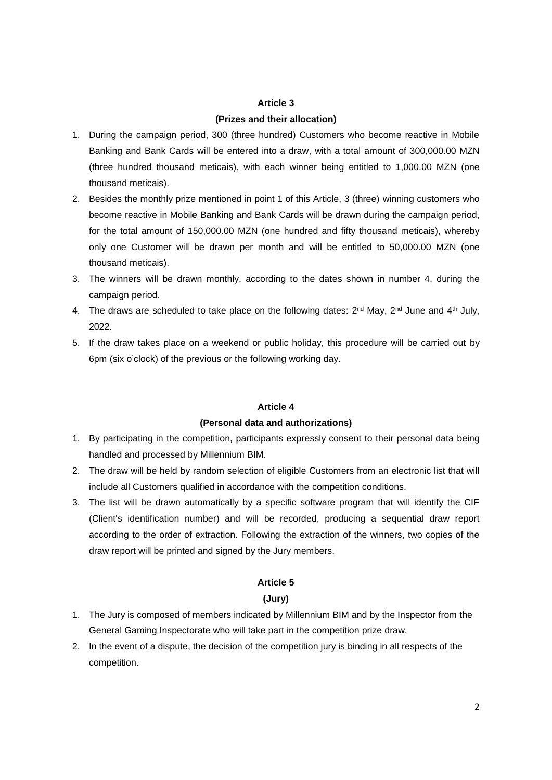#### **Article 3**

#### **(Prizes and their allocation)**

- 1. During the campaign period, 300 (three hundred) Customers who become reactive in Mobile Banking and Bank Cards will be entered into a draw, with a total amount of 300,000.00 MZN (three hundred thousand meticais), with each winner being entitled to 1,000.00 MZN (one thousand meticais).
- 2. Besides the monthly prize mentioned in point 1 of this Article, 3 (three) winning customers who become reactive in Mobile Banking and Bank Cards will be drawn during the campaign period, for the total amount of 150,000.00 MZN (one hundred and fifty thousand meticais), whereby only one Customer will be drawn per month and will be entitled to 50,000.00 MZN (one thousand meticais).
- 3. The winners will be drawn monthly, according to the dates shown in number 4, during the campaign period.
- 4. The draws are scheduled to take place on the following dates:  $2^{nd}$  May,  $2^{nd}$  June and  $4^{th}$  July, 2022.
- 5. If the draw takes place on a weekend or public holiday, this procedure will be carried out by 6pm (six o'clock) of the previous or the following working day.

### **Article 4**

#### **(Personal data and authorizations)**

- 1. By participating in the competition, participants expressly consent to their personal data being handled and processed by Millennium BIM.
- 2. The draw will be held by random selection of eligible Customers from an electronic list that will include all Customers qualified in accordance with the competition conditions.
- 3. The list will be drawn automatically by a specific software program that will identify the CIF (Client's identification number) and will be recorded, producing a sequential draw report according to the order of extraction. Following the extraction of the winners, two copies of the draw report will be printed and signed by the Jury members.

### **Article 5**

#### **(Jury)**

- 1. The Jury is composed of members indicated by Millennium BIM and by the Inspector from the General Gaming Inspectorate who will take part in the competition prize draw.
- 2. In the event of a dispute, the decision of the competition jury is binding in all respects of the competition.